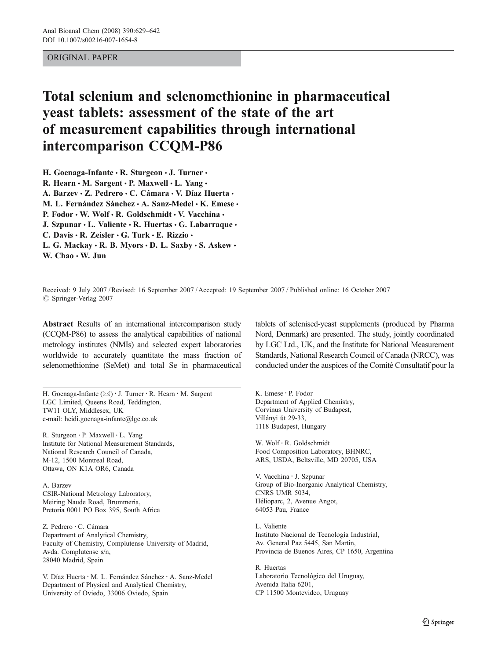# ORIGINAL PAPER

# Total selenium and selenomethionine in pharmaceutical yeast tablets: assessment of the state of the art of measurement capabilities through international intercomparison CCQM-P86

H. Goenaga-Infante · R. Sturgeon · J. Turner · R. Hearn  $\cdot$  M. Sargent  $\cdot$  P. Maxwell  $\cdot$  L. Yang  $\cdot$ A. Barzev · Z. Pedrero · C. Cámara · V. Díaz Huerta · M. L. Fernández Sánchez · A. Sanz-Medel · K. Emese · P. Fodor · W. Wolf · R. Goldschmidt · V. Vacchina · J. Szpunar · L. Valiente · R. Huertas · G. Labarraque · C. Davis · R. Zeisler · G. Turk · E. Rizzio · L. G. Mackay · R. B. Myors · D. L. Saxby · S. Askew · W. Chao  $\cdot$  W. Jun

Received: 9 July 2007 /Revised: 16 September 2007 /Accepted: 19 September 2007 / Published online: 16 October 2007  $\oslash$  Springer-Verlag 2007

Abstract Results of an international intercomparison study (CCQM-P86) to assess the analytical capabilities of national metrology institutes (NMIs) and selected expert laboratories worldwide to accurately quantitate the mass fraction of selenomethionine (SeMet) and total Se in pharmaceutical

H. Goenaga-Infante (*\**) : J. Turner : R. Hearn : M. Sargent LGC Limited, Queens Road, Teddington, TW11 OLY, Middlesex, UK e-mail: heidi.goenaga-infante@lgc.co.uk

R. Sturgeon : P. Maxwell : L. Yang Institute for National Measurement Standards, National Research Council of Canada, M-12, 1500 Montreal Road, Ottawa, ON K1A OR6, Canada

A. Barzev CSIR-National Metrology Laboratory, Meiring Naude Road, Brummeria, Pretoria 0001 PO Box 395, South Africa

Z. Pedrero : C. Cámara Department of Analytical Chemistry, Faculty of Chemistry, Complutense University of Madrid, Avda. Complutense s/n, 28040 Madrid, Spain

V. Díaz Huerta : M. L. Fernández Sánchez : A. Sanz-Medel Department of Physical and Analytical Chemistry, University of Oviedo, 33006 Oviedo, Spain

tablets of selenised-yeast supplements (produced by Pharma Nord, Denmark) are presented. The study, jointly coordinated by LGC Ltd., UK, and the Institute for National Measurement Standards, National Research Council of Canada (NRCC), was conducted under the auspices of the Comité Consultatif pour la

K. Emese : P. Fodor Department of Applied Chemistry, Corvinus University of Budapest, Villányi út 29-33, 1118 Budapest, Hungary

W. Wolf : R. Goldschmidt Food Composition Laboratory, BHNRC, ARS, USDA, Beltsville, MD 20705, USA

V. Vacchina : J. Szpunar Group of Bio-Inorganic Analytical Chemistry, CNRS UMR 5034, Hélioparc, 2, Avenue Angot, 64053 Pau, France

L. Valiente Instituto Nacional de Tecnología Industrial, Av. General Paz 5445, San Martin, Provincia de Buenos Aires, CP 1650, Argentina

R. Huertas Laboratorio Tecnológico del Uruguay, Avenida Italia 6201, CP 11500 Montevideo, Uruguay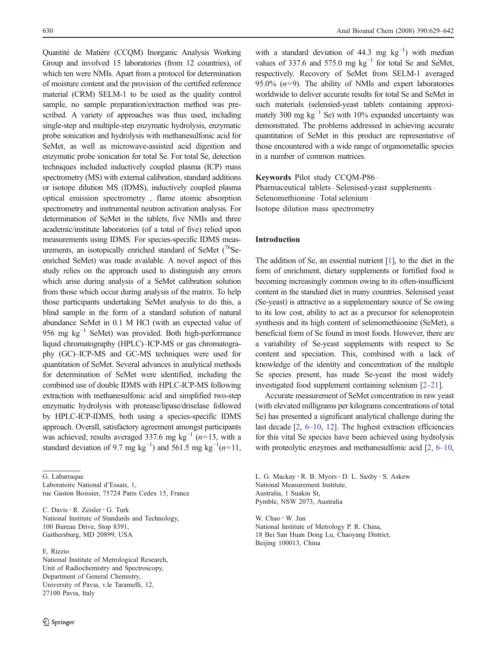Quantité de Matière (CCQM) Inorganic Analysis Working Group and involved 15 laboratories (from 12 countries), of which ten were NMIs. Apart from a protocol for determination of moisture content and the provision of the certified reference material (CRM) SELM-1 to be used as the quality control sample, no sample preparation/extraction method was prescribed. A variety of approaches was thus used, including single-step and multiple-step enzymatic hydrolysis, enzymatic probe sonication and hydrolysis with methanesulfonic acid for SeMet, as well as microwave-assisted acid digestion and enzymatic probe sonication for total Se. For total Se, detection techniques included inductively coupled plasma (ICP) mass spectrometry (MS) with external calibration, standard additions or isotope dilution MS (IDMS), inductively coupled plasma optical emission spectrometry , flame atomic absorption spectrometry and instrumental neutron activation analysis. For determination of SeMet in the tablets, five NMIs and three academic/institute laboratories (of a total of five) relied upon measurements using IDMS. For species-specific IDMS measurements, an isotopically enriched standard of SeMet  $(76$ Seenriched SeMet) was made available. A novel aspect of this study relies on the approach used to distinguish any errors which arise during analysis of a SeMet calibration solution from those which occur during analysis of the matrix. To help those participants undertaking SeMet analysis to do this, a blind sample in the form of a standard solution of natural abundance SeMet in 0.1 M HCl (with an expected value of 956 mg  $kg^{-1}$  SeMet) was provided. Both high-performance liquid chromatography (HPLC)–ICP-MS or gas chromatography (GC)–ICP-MS and GC-MS techniques were used for quantitation of SeMet. Several advances in analytical methods for determination of SeMet were identified, including the combined use of double IDMS with HPLC-ICP-MS following extraction with methanesulfonic acid and simplified two-step enzymatic hydrolysis with protease/lipase/driselase followed by HPLC-ICP-IDMS, both using a species-specific IDMS approach. Overall, satisfactory agreement amongst participants was achieved; results averaged 337.6 mg kg<sup>-1</sup> (n=13, with a standard deviation of 9.7 mg kg<sup>-1</sup>) and 561.5 mg kg<sup>-1</sup>( $n=11$ ,

G. Labarraque Laboratoire National d'Essais, 1, rue Gaston Boissier, 75724 Paris Cedex 15, France

C. Davis: R. Zeisler : G. Turk National Institute of Standards and Technology, 100 Bureau Drive, Stop 8391, Gaithersburg, MD 20899, USA

E. Rizzio

National Institute of Metrological Research, Unit of Radiochemistry and Spectroscopy, Department of General Chemistry, University of Pavia, v.le Taramelli, 12, 27100 Pavia, Italy

with a standard deviation of 44.3 mg  $kg^{-1}$ ) with median values of 337.6 and 575.0 mg  $kg^{-1}$  for total Se and SeMet, respectively. Recovery of SeMet from SELM-1 averaged 95.0%  $(n=9)$ . The ability of NMIs and expert laboratories worldwide to deliver accurate results for total Se and SeMet in such materials (selensied-yeast tablets containing approximately 300 mg  $kg^{-1}$  Se) with 10% expanded uncertainty was demonstrated. The problems addressed in achieving accurate quantitation of SeMet in this product are representative of those encountered with a wide range of organometallic species in a number of common matrices.

Keywords Pilot study CCQM-P86 . Pharmaceutical tablets · Selenised-yeast supplements · Selenomethionine · Total selenium · Isotope dilution mass spectrometry

# Introduction

The addition of Se, an essential nutrient [\[1\]](#page-12-0), to the diet in the form of enrichment, dietary supplements or fortified food is becoming increasingly common owing to its often-insufficient content in the standard diet in many countries. Selenised yeast (Se-yeast) is attractive as a supplementary source of Se owing to its low cost, ability to act as a precursor for selenoprotein synthesis and its high content of selenomethionine (SeMet), a beneficial form of Se found in most foods. However, there are a variability of Se-yeast supplements with respect to Se content and speciation. This, combined with a lack of knowledge of the identity and concentration of the multiple Se species present, has made Se-yeast the most widely investigated food supplement containing selenium [[2](#page-12-0)–[21\]](#page-13-0).

Accurate measurement of SeMet concentration in raw yeast (with elevated milligrams per kilograms concentrations of total Se) has presented a significant analytical challenge during the last decade [[2,](#page-12-0) [6](#page-12-0)–[10,](#page-12-0) [12\]](#page-12-0). The highest extraction efficiencies for this vital Se species have been achieved using hydrolysis with proteolytic enzymes and methanesulfonic acid [\[2,](#page-12-0) [6](#page-12-0)–[10,](#page-12-0)

W. Chao : W. Jun National Institute of Metrology P. R. China, 18 Bei San Huan Dong Lu, Chaoyang District, Beijing 100013, China

L. G. Mackay : R. B. Myors: D. L. Saxby : S. Askew National Measurement Institute, Australia, 1 Suakin St, Pymble, NSW 2073, Australia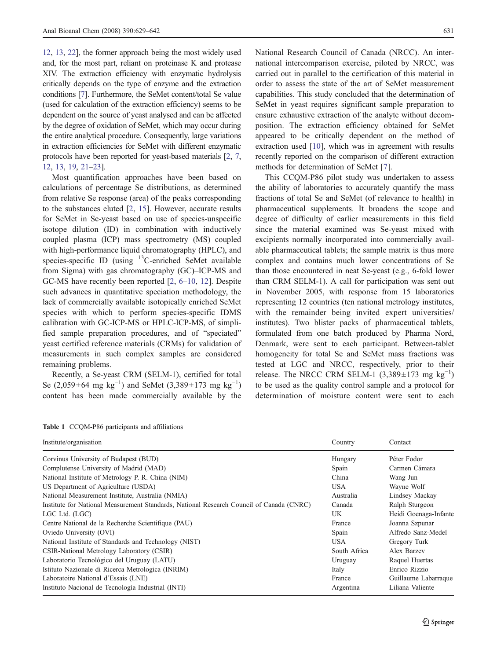<span id="page-2-0"></span>[12,](#page-12-0) [13,](#page-12-0) [22\]](#page-13-0), the former approach being the most widely used and, for the most part, reliant on proteinase K and protease XIV. The extraction efficiency with enzymatic hydrolysis critically depends on the type of enzyme and the extraction conditions [[7\]](#page-12-0). Furthermore, the SeMet content/total Se value (used for calculation of the extraction efficiency) seems to be dependent on the source of yeast analysed and can be affected by the degree of oxidation of SeMet, which may occur during the entire analytical procedure. Consequently, large variations in extraction efficiencies for SeMet with different enzymatic protocols have been reported for yeast-based materials [\[2](#page-12-0), [7,](#page-12-0) [12,](#page-12-0) [13](#page-12-0), [19](#page-13-0), [21](#page-13-0)–[23](#page-13-0)].

Most quantification approaches have been based on calculations of percentage Se distributions, as determined from relative Se response (area) of the peaks corresponding to the substances eluted [[2,](#page-12-0) [15\]](#page-12-0). However, accurate results for SeMet in Se-yeast based on use of species-unspecific isotope dilution (ID) in combination with inductively coupled plasma (ICP) mass spectrometry (MS) coupled with high-performance liquid chromatography (HPLC), and species-specific ID (using  $^{13}$ C-enriched SeMet available from Sigma) with gas chromatography (GC)–ICP-MS and GC-MS have recently been reported [[2,](#page-12-0) [6](#page-12-0)–[10](#page-12-0), [12](#page-12-0)]. Despite such advances in quantitative speciation methodology, the lack of commercially available isotopically enriched SeMet species with which to perform species-specific IDMS calibration with GC-ICP-MS or HPLC-ICP-MS, of simplified sample preparation procedures, and of "speciated" yeast certified reference materials (CRMs) for validation of measurements in such complex samples are considered remaining problems.

Recently, a Se-yeast CRM (SELM-1), certified for total Se  $(2,059 \pm 64 \text{ mg kg}^{-1})$  and SeMet  $(3,389 \pm 173 \text{ mg kg}^{-1})$ content has been made commercially available by the National Research Council of Canada (NRCC). An international intercomparison exercise, piloted by NRCC, was carried out in parallel to the certification of this material in order to assess the state of the art of SeMet measurement capabilities. This study concluded that the determination of SeMet in yeast requires significant sample preparation to ensure exhaustive extraction of the analyte without decomposition. The extraction efficiency obtained for SeMet appeared to be critically dependent on the method of extraction used [\[10](#page-12-0)], which was in agreement with results recently reported on the comparison of different extraction methods for determination of SeMet [[7\]](#page-12-0).

This CCQM-P86 pilot study was undertaken to assess the ability of laboratories to accurately quantify the mass fractions of total Se and SeMet (of relevance to health) in pharmaceutical supplements. It broadens the scope and degree of difficulty of earlier measurements in this field since the material examined was Se-yeast mixed with excipients normally incorporated into commercially available pharmaceutical tablets; the sample matrix is thus more complex and contains much lower concentrations of Se than those encountered in neat Se-yeast (e.g., 6-fold lower than CRM SELM-1). A call for participation was sent out in November 2005, with response from 15 laboratories representing 12 countries (ten national metrology institutes, with the remainder being invited expert universities/ institutes). Two blister packs of pharmaceutical tablets, formulated from one batch produced by Pharma Nord, Denmark, were sent to each participant. Between-tablet homogeneity for total Se and SeMet mass fractions was tested at LGC and NRCC, respectively, prior to their release. The NRCC CRM SELM-1  $(3,389 \pm 173 \text{ mg kg}^{-1})$ to be used as the quality control sample and a protocol for determination of moisture content were sent to each

|  | Table 1 CCQM-P86 participants and affiliations |  |  |  |  |
|--|------------------------------------------------|--|--|--|--|
|--|------------------------------------------------|--|--|--|--|

| Institute/organisation                                                                   | Country      | Contact               |
|------------------------------------------------------------------------------------------|--------------|-----------------------|
| Corvinus University of Budapest (BUD)                                                    | Hungary      | Péter Fodor           |
| Complutense University of Madrid (MAD)                                                   | Spain        | Carmen Cámara         |
| National Institute of Metrology P. R. China (NIM)                                        | China        | Wang Jun              |
| US Department of Agriculture (USDA)                                                      | <b>USA</b>   | Wayne Wolf            |
| National Measurement Institute, Australia (NMIA)                                         | Australia    | Lindsey Mackay        |
| Institute for National Measurement Standards, National Research Council of Canada (CNRC) | Canada       | Ralph Sturgeon        |
| $LGC$ Ltd. $(LGC)$                                                                       | UK.          | Heidi Goenaga-Infante |
| Centre National de la Recherche Scientifique (PAU)                                       | France       | Joanna Szpunar        |
| Oviedo University (OVI)                                                                  | Spain        | Alfredo Sanz-Medel    |
| National Institute of Standards and Technology (NIST)                                    | <b>USA</b>   | Gregory Turk          |
| CSIR-National Metrology Laboratory (CSIR)                                                | South Africa | Alex Barzey           |
| Laboratorio Tecnológico del Uruguay (LATU)                                               | Uruguay      | Raquel Huertas        |
| Istituto Nazionale di Ricerca Metrologica (INRIM)                                        | Italy        | Enrico Rizzio         |
| Laboratoire National d'Essais (LNE)                                                      | France       | Guillaume Labarraque  |
| Instituto Nacional de Tecnología Industrial (INTI)                                       | Argentina    | Liliana Valiente      |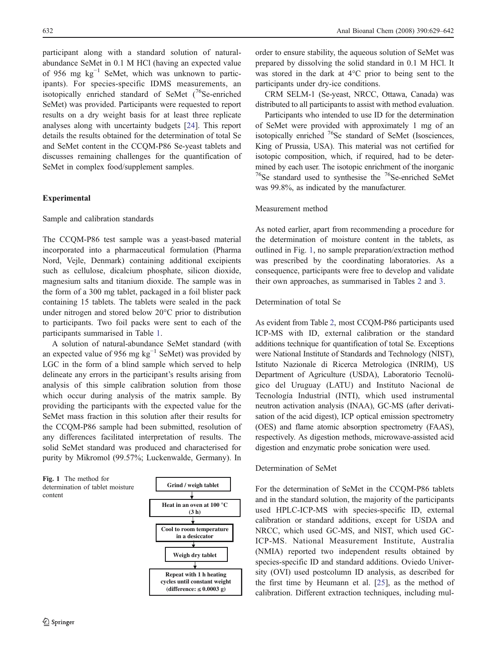<span id="page-3-0"></span>participant along with a standard solution of naturalabundance SeMet in 0.1 M HCl (having an expected value of 956 mg  $kg^{-1}$  SeMet, which was unknown to participants). For species-specific IDMS measurements, an isotopically enriched standard of SeMet  $(76$ Se-enriched SeMet) was provided. Participants were requested to report results on a dry weight basis for at least three replicate analyses along with uncertainty budgets [[24\]](#page-13-0). This report details the results obtained for the determination of total Se and SeMet content in the CCQM-P86 Se-yeast tablets and discusses remaining challenges for the quantification of SeMet in complex food/supplement samples.

## Experimental

#### Sample and calibration standards

The CCQM-P86 test sample was a yeast-based material incorporated into a pharmaceutical formulation (Pharma Nord, Vejle, Denmark) containing additional excipients such as cellulose, dicalcium phosphate, silicon dioxide, magnesium salts and titanium dioxide. The sample was in the form of a 300 mg tablet, packaged in a foil blister pack containing 15 tablets. The tablets were sealed in the pack under nitrogen and stored below 20°C prior to distribution to participants. Two foil packs were sent to each of the participants summarised in Table [1](#page-2-0).

A solution of natural-abundance SeMet standard (with an expected value of 956 mg  $kg^{-1}$  SeMet) was provided by LGC in the form of a blind sample which served to help delineate any errors in the participant's results arising from analysis of this simple calibration solution from those which occur during analysis of the matrix sample. By providing the participants with the expected value for the SeMet mass fraction in this solution after their results for the CCQM-P86 sample had been submitted, resolution of any differences facilitated interpretation of results. The solid SeMet standard was produced and characterised for purity by Mikromol (99.57%; Luckenwalde, Germany). In





order to ensure stability, the aqueous solution of SeMet was prepared by dissolving the solid standard in 0.1 M HCl. It was stored in the dark at 4°C prior to being sent to the participants under dry-ice conditions.

CRM SELM-1 (Se-yeast, NRCC, Ottawa, Canada) was distributed to all participants to assist with method evaluation.

Participants who intended to use ID for the determination of SeMet were provided with approximately 1 mg of an isotopically enriched  $^{76}$ Se standard of SeMet (Isosciences, King of Prussia, USA). This material was not certified for isotopic composition, which, if required, had to be determined by each user. The isotopic enrichment of the inorganic  $^{76}$ Se standard used to synthesise the  $^{76}$ Se-enriched SeMet was 99.8%, as indicated by the manufacturer.

### Measurement method

As noted earlier, apart from recommending a procedure for the determination of moisture content in the tablets, as outlined in Fig. 1, no sample preparation/extraction method was prescribed by the coordinating laboratories. As a consequence, participants were free to develop and validate their own approaches, as summarised in Tables [2](#page-4-0) and [3](#page-4-0).

# Determination of total Se

As evident from Table [2,](#page-4-0) most CCQM-P86 participants used ICP-MS with ID, external calibration or the standard additions technique for quantification of total Se. Exceptions were National Institute of Standards and Technology (NIST), Istituto Nazionale di Ricerca Metrologica (INRIM), US Department of Agriculture (USDA), Laboratorio Tecnolügico del Uruguay (LATU) and Instituto Nacional de Tecnología Industrial (INTI), which used instrumental neutron activation analysis (INAA), GC-MS (after derivatisation of the acid digest), ICP optical emission spectrometry (OES) and flame atomic absorption spectrometry (FAAS), respectively. As digestion methods, microwave-assisted acid digestion and enzymatic probe sonication were used.

## Determination of SeMet

For the determination of SeMet in the CCQM-P86 tablets and in the standard solution, the majority of the participants used HPLC-ICP-MS with species-specific ID, external calibration or standard additions, except for USDA and NRCC, which used GC-MS, and NIST, which used GC-ICP-MS. National Measurement Institute, Australia (NMIA) reported two independent results obtained by species-specific ID and standard additions. Oviedo University (OVI) used postcolumn ID analysis, as described for the first time by Heumann et al. [[25\]](#page-13-0), as the method of calibration. Different extraction techniques, including mul-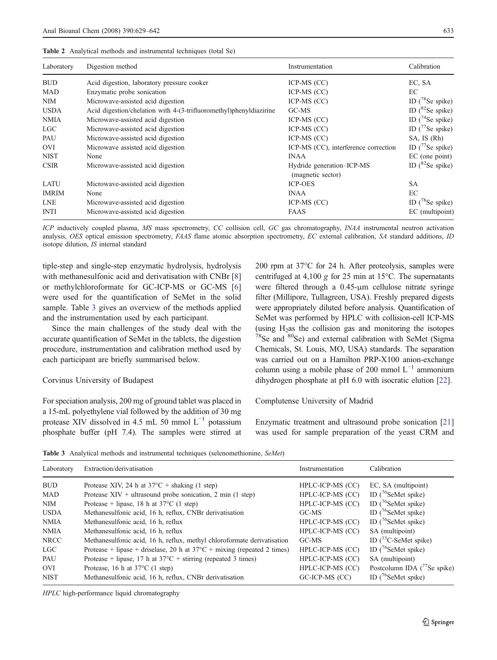| Laboratory   | Digestion method                                                   | Instrumentation                                | Calibration           |
|--------------|--------------------------------------------------------------------|------------------------------------------------|-----------------------|
| <b>BUD</b>   | Acid digestion, laboratory pressure cooker                         | ICP-MS (CC)                                    | EC, SA                |
| <b>MAD</b>   | Enzymatic probe sonication                                         | ICP-MS (CC)                                    | EC                    |
| NIM          | Microwave-assisted acid digestion                                  | ICP-MS (CC)                                    | ID $(^{78}$ Se spike) |
| <b>USDA</b>  | Acid digestion/chelation with 4-(3-trifluoromethyl)phenyldiazirine | GC-MS                                          | ID $(^{82}$ Se spike) |
| <b>NMIA</b>  | Microwave-assisted acid digestion                                  | ICP-MS (CC)                                    | ID $(^{74}$ Se spike) |
| <b>LGC</b>   | Microwave-assisted acid digestion                                  | ICP-MS (CC)                                    | ID $(^{77}$ Se spike) |
| PAU          | Microwave-assisted acid digestion                                  | $ICP-MS (CC)$                                  | SA, IS (Rh)           |
| OVI          | Microwave assisted acid digestion                                  | ICP-MS (CC), interference correction           | ID $(^{77}$ Se spike) |
| <b>NIST</b>  | None                                                               | <b>INAA</b>                                    | $EC$ (one point)      |
| <b>CSIR</b>  | Microwave-assisted acid digestion                                  | Hydride generation-ICP-MS<br>(magnetic sector) | ID $(^{82}$ Se spike) |
| LATU         | Microwave-assisted acid digestion                                  | <b>ICP-OES</b>                                 | <b>SA</b>             |
| <b>IMRIM</b> | None                                                               | <b>INAA</b>                                    | EC                    |
| <b>LNE</b>   | Microwave-assisted acid digestion                                  | ICP-MS (CC)                                    | ID $(^{78}$ Se spike) |
| <b>INTI</b>  | Microwave-assisted acid digestion                                  | <b>FAAS</b>                                    | EC (multipoint)       |

<span id="page-4-0"></span>Table 2 Analytical methods and instrumental techniques (total Se)

ICP inductively coupled plasma, MS mass spectrometry, CC collision cell, GC gas chromatography, INAA instrumental neutron activation analysis, OES optical emission spectrometry, FAAS flame atomic absorption spectrometry, EC external calibration, SA standard additions, ID isotope dilution, IS internal standard

tiple-step and single-step enzymatic hydrolysis, hydrolysis with methanesulfonic acid and derivatisation with CNBr [[8\]](#page-12-0) or methylchloroformate for GC-ICP-MS or GC-MS [[6\]](#page-12-0) were used for the quantification of SeMet in the solid sample. Table 3 gives an overview of the methods applied and the instrumentation used by each participant.

Since the main challenges of the study deal with the accurate quantification of SeMet in the tablets, the digestion procedure, instrumentation and calibration method used by each participant are briefly summarised below.

#### Corvinus University of Budapest

For speciation analysis, 200 mg of ground tablet was placed in a 15-mL polyethylene vial followed by the addition of 30 mg protease XIV dissolved in 4.5 mL 50 mmol  $L^{-1}$  potassium phosphate buffer (pH 7.4). The samples were stirred at 200 rpm at 37°C for 24 h. After proteolysis, samples were centrifuged at 4,100 g for 25 min at 15 $^{\circ}$ C. The supernatants were filtered through a 0.45-μm cellulose nitrate syringe filter (Millipore, Tullagreen, USA). Freshly prepared digests were appropriately diluted before analysis. Quantification of SeMet was performed by HPLC with collision-cell ICP-MS (using  $H_2$ as the collision gas and monitoring the isotopes  $78$ Se and  $80$ Se) and external calibration with SeMet (Sigma Chemicals, St. Louis, MO, USA) standards. The separation was carried out on a Hamilton PRP-X100 anion-exchange column using a mobile phase of 200 mmol  $L^{-1}$  ammonium dihydrogen phosphate at pH 6.0 with isocratic elution [\[22](#page-13-0)].

Complutense University of Madrid

Enzymatic treatment and ultrasound probe sonication [\[21](#page-13-0)] was used for sample preparation of the yeast CRM and

Table 3 Analytical methods and instrumental techniques (selenomethionine, SeMet)

| Laboratory  | Extraction/derivatisation                                                         | Instrumentation  | Calibration                       |
|-------------|-----------------------------------------------------------------------------------|------------------|-----------------------------------|
| <b>BUD</b>  | Protease XIV, 24 h at $37^{\circ}$ C + shaking (1 step)                           | HPLC-ICP-MS (CC) | EC, SA (multipoint)               |
| <b>MAD</b>  | Protease $XIV + ultrasound$ probe sonication, 2 min (1 step)                      | HPLC-ICP-MS (CC) | ID $(^{76}$ SeMet spike)          |
| <b>NIM</b>  | Protease + lipase, 18 h at $37^{\circ}$ C (1 step)                                | HPLC-ICP-MS (CC) | ID $(^{76}$ SeMet spike)          |
| <b>USDA</b> | Methanesulfonic acid, 16 h, reflux, CNBr derivatisation                           | GC-MS            | ID $(^{76}$ SeMet spike)          |
| NMIA        | Methanesulfonic acid, 16 h, reflux                                                | HPLC-ICP-MS (CC) | ID $(^{76}$ SeMet spike)          |
| <b>NMIA</b> | Methanesulfonic acid, 16 h, reflux                                                | HPLC-ICP-MS (CC) | SA (multipoint)                   |
| <b>NRCC</b> | Methanesulfonic acid, 16 h, reflux, methyl chloroformate derivatisation           | GC-MS            | ID $(^{13}$ C-SeMet spike)        |
| <b>LGC</b>  | Protease + lipase + driselase, 20 h at $37^{\circ}$ C + mixing (repeated 2 times) | HPLC-ICP-MS (CC) | ID $(^{76}$ SeMet spike)          |
| PAU         | Protease + lipase, 17 h at $37^{\circ}$ C + stirring (repeated 3 times)           | HPLC-ICP-MS (CC) | SA (multipoint)                   |
| OVI         | Protease, 16 h at $37^{\circ}$ C (1 step)                                         | HPLC-ICP-MS (CC) | Postcolumn IDA $(^{77}$ Se spike) |
| <b>NIST</b> | Methanesulfonic acid, 16 h, reflux, CNBr derivatisation                           | GC-ICP-MS (CC)   | ID $(^{76}$ SeMet spike)          |

HPLC high-performance liquid chromatography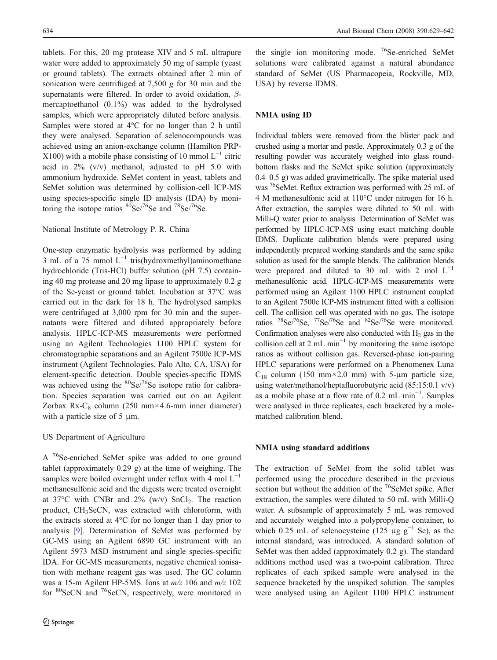tablets. For this, 20 mg protease XIV and 5 mL ultrapure water were added to approximately 50 mg of sample (yeast or ground tablets). The extracts obtained after 2 min of sonication were centrifuged at 7,500  $g$  for 30 min and the supernatants were filtered. In order to avoid oxidation,  $\beta$ mercaptoethanol (0.1%) was added to the hydrolysed samples, which were appropriately diluted before analysis. Samples were stored at 4°C for no longer than 2 h until they were analysed. Separation of selenocompounds was achieved using an anion-exchange column (Hamilton PRP-X100) with a mobile phase consisting of 10 mmol  $L^{-1}$  citric acid in  $2\%$  (v/v) methanol, adjusted to pH 5.0 with ammonium hydroxide. SeMet content in yeast, tablets and SeMet solution was determined by collision-cell ICP-MS using species-specific single ID analysis (IDA) by monitoring the isotope ratios  ${}^{80}$ Se/<sup>76</sup>Se and  ${}^{78}$ Se/<sup>76</sup>Se.

# National Institute of Metrology P. R. China

One-step enzymatic hydrolysis was performed by adding 3 mL of a 75 mmol  $L^{-1}$  tris(hydroxmethyl)aminomethane hydrochloride (Tris-HCl) buffer solution (pH 7.5) containing 40 mg protease and 20 mg lipase to approximately 0.2 g of the Se-yeast or ground tablet. Incubation at 37°C was carried out in the dark for 18 h. The hydrolysed samples were centrifuged at 3,000 rpm for 30 min and the supernatants were filtered and diluted appropriately before analysis. HPLC-ICP-MS measurements were performed using an Agilent Technologies 1100 HPLC system for chromatographic separations and an Agilent 7500c ICP-MS instrument (Agilent Technologies, Palo Alto, CA, USA) for element-specific detection. Double species-specific IDMS was achieved using the  ${}^{80}$ Se/<sup>76</sup>Se isotope ratio for calibration. Species separation was carried out on an Agilent Zorbax Rx-C<sub>8</sub> column (250 mm×4.6-mm inner diameter) with a particle size of 5  $\mu$ m.

# US Department of Agriculture

A  $^{76}$ Se-enriched SeMet spike was added to one ground tablet (approximately 0.29 g) at the time of weighing. The samples were boiled overnight under reflux with 4 mol  $L^{-1}$ methanesulfonic acid and the digests were treated overnight at  $37^{\circ}$ C with CNBr and  $2\%$  (w/v) SnCl<sub>2</sub>. The reaction product, CH3SeCN, was extracted with chloroform, with the extracts stored at 4°C for no longer than 1 day prior to analysis [\[9](#page-12-0)]. Determination of SeMet was performed by GC-MS using an Agilent 6890 GC instrument with an Agilent 5973 MSD instrument and single species-specific IDA. For GC-MS measurements, negative chemical ionisation with methane reagent gas was used. The GC column was a 15-m Agilent HP-5MS. Ions at  $m/z$  106 and  $m/z$  102 for <sup>80</sup>SeCN and <sup>76</sup>SeCN, respectively, were monitored in

the single ion monitoring mode.  ${}^{76}$ Se-enriched SeMet solutions were calibrated against a natural abundance standard of SeMet (US Pharmacopeia, Rockville, MD, USA) by reverse IDMS.

# NMIA using ID

Individual tablets were removed from the blister pack and crushed using a mortar and pestle. Approximately 0.3 g of the resulting powder was accurately weighed into glass roundbottom flasks and the SeMet spike solution (approximately 0.4–0.5 g) was added gravimetrically. The spike material used was <sup>76</sup>SeMet. Reflux extraction was performed with 25 mL of 4 M methanesulfonic acid at 110°C under nitrogen for 16 h. After extraction, the samples were diluted to 50 mL with Milli-Q water prior to analysis. Determination of SeMet was performed by HPLC-ICP-MS using exact matching double IDMS. Duplicate calibration blends were prepared using independently prepared working standards and the same spike solution as used for the sample blends. The calibration blends were prepared and diluted to 30 mL with 2 mol  $L^{-1}$ methanesulfonic acid. HPLC-ICP-MS measurements were performed using an Agilent 1100 HPLC instrument coupled to an Agilent 7500c ICP-MS instrument fitted with a collision cell. The collision cell was operated with no gas. The isotope ratios 78Se/76Se, 77Se/76Se and 82Se/76Se were monitored. Confirmation analyses were also conducted with  $H<sub>2</sub>$  gas in the collision cell at 2 mL min<sup>-1</sup> by monitoring the same isotope ratios as without collision gas. Reversed-phase ion-pairing HPLC separations were performed on a Phenomenex Luna  $C_{18}$  column (150 mm×2.0 mm) with 5-μm particle size, using water/methanol/heptafluorobutyric acid (85:15:0.1 v/v) as a mobile phase at a flow rate of 0.2 mL min−<sup>1</sup> . Samples were analysed in three replicates, each bracketed by a molematched calibration blend.

#### NMIA using standard additions

The extraction of SeMet from the solid tablet was performed using the procedure described in the previous section but without the addition of the  $76$ SeMet spike. After extraction, the samples were diluted to 50 mL with Milli-Q water. A subsample of approximately 5 mL was removed and accurately weighed into a polypropylene container, to which 0.25 mL of selenocysteine (125 μg  $g^{-1}$  Se), as the internal standard, was introduced. A standard solution of SeMet was then added (approximately 0.2 g). The standard additions method used was a two-point calibration. Three replicates of each spiked sample were analysed in the sequence bracketed by the unspiked solution. The samples were analysed using an Agilent 1100 HPLC instrument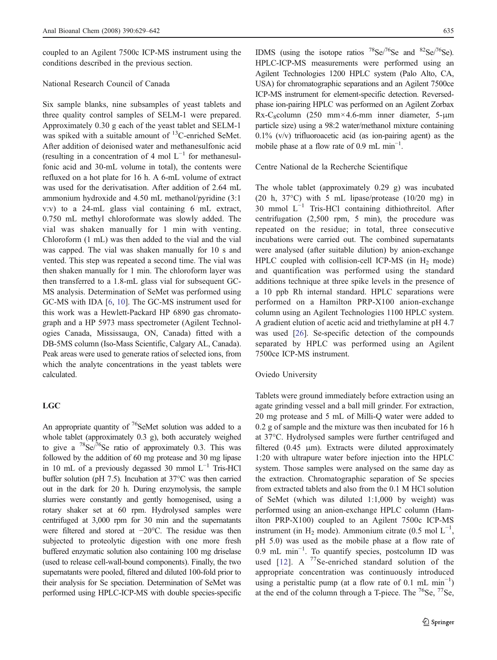coupled to an Agilent 7500c ICP-MS instrument using the conditions described in the previous section.

# National Research Council of Canada

Six sample blanks, nine subsamples of yeast tablets and three quality control samples of SELM-1 were prepared. Approximately 0.30 g each of the yeast tablet and SELM-1 was spiked with a suitable amount of <sup>13</sup>C-enriched SeMet. After addition of deionised water and methanesulfonic acid (resulting in a concentration of 4 mol  $L^{-1}$  for methanesulfonic acid and 30-mL volume in total), the contents were refluxed on a hot plate for 16 h. A 6-mL volume of extract was used for the derivatisation. After addition of 2.64 mL ammonium hydroxide and 4.50 mL methanol/pyridine (3:1 v:v) to a 24-mL glass vial containing 6 mL extract, 0.750 mL methyl chloroformate was slowly added. The vial was shaken manually for 1 min with venting. Chloroform (1 mL) was then added to the vial and the vial was capped. The vial was shaken manually for 10 s and vented. This step was repeated a second time. The vial was then shaken manually for 1 min. The chloroform layer was then transferred to a 1.8-mL glass vial for subsequent GC-MS analysis. Determination of SeMet was performed using GC-MS with IDA [[6,](#page-12-0) [10](#page-12-0)]. The GC-MS instrument used for this work was a Hewlett-Packard HP 6890 gas chromatograph and a HP 5973 mass spectrometer (Agilent Technologies Canada, Mississauga, ON, Canada) fitted with a DB-5MS column (Iso-Mass Scientific, Calgary AL, Canada). Peak areas were used to generate ratios of selected ions, from which the analyte concentrations in the yeast tablets were calculated.

# LGC

An appropriate quantity of <sup>76</sup>SeMet solution was added to a whole tablet (approximately 0.3 g), both accurately weighed to give a  $^{78}$ Se $^{76}$ Se ratio of approximately 0.3. This was followed by the addition of 60 mg protease and 30 mg lipase in 10 mL of a previously degassed 30 mmol  $L^{-1}$  Tris-HCl buffer solution (pH 7.5). Incubation at 37°C was then carried out in the dark for 20 h. During enzymolysis, the sample slurries were constantly and gently homogenised, using a rotary shaker set at 60 rpm. Hydrolysed samples were centrifuged at 3,000 rpm for 30 min and the supernatants were filtered and stored at −20°C. The residue was then subjected to proteolytic digestion with one more fresh buffered enzymatic solution also containing 100 mg driselase (used to release cell-wall-bound components). Finally, the two supernatants were pooled, filtered and diluted 100-fold prior to their analysis for Se speciation. Determination of SeMet was performed using HPLC-ICP-MS with double species-specific

IDMS (using the isotope ratios  ${}^{78}$ Se $/{}^{76}$ Se and  ${}^{82}$ Se $/{}^{76}$ Se). HPLC-ICP-MS measurements were performed using an Agilent Technologies 1200 HPLC system (Palo Alto, CA, USA) for chromatographic separations and an Agilent 7500ce ICP-MS instrument for element-specific detection. Reversedphase ion-pairing HPLC was performed on an Agilent Zorbax  $Rx-C_8$ column (250 mm×4.6-mm inner diameter, 5-µm particle size) using a 98:2 water/methanol mixture containing  $0.1\%$  (v/v) trifluoroacetic acid (as ion-pairing agent) as the mobile phase at a flow rate of 0.9 mL min<sup>-1</sup>.

Centre National de la Recherche Scientifique

The whole tablet (approximately 0.29 g) was incubated (20 h,  $37^{\circ}$ C) with 5 mL lipase/protease (10/20 mg) in 30 mmol  $L^{-1}$  Tris-HCl containing dithiothreitol. After centrifugation (2,500 rpm, 5 min), the procedure was repeated on the residue; in total, three consecutive incubations were carried out. The combined supernatants were analysed (after suitable dilution) by anion-exchange HPLC coupled with collision-cell ICP-MS (in  $H<sub>2</sub>$  mode) and quantification was performed using the standard additions technique at three spike levels in the presence of a 10 ppb Rh internal standard. HPLC separations were performed on a Hamilton PRP-X100 anion-exchange column using an Agilent Technologies 1100 HPLC system. A gradient elution of acetic acid and triethylamine at pH 4.7 was used [\[26](#page-13-0)]. Se-specific detection of the compounds separated by HPLC was performed using an Agilent 7500ce ICP-MS instrument.

#### Oviedo University

Tablets were ground immediately before extraction using an agate grinding vessel and a ball mill grinder. For extraction, 20 mg protease and 5 mL of Milli-Q water were added to 0.2 g of sample and the mixture was then incubated for 16 h at 37°C. Hydrolysed samples were further centrifuged and filtered (0.45 μm). Extracts were diluted approximately 1:20 with ultrapure water before injection into the HPLC system. Those samples were analysed on the same day as the extraction. Chromatographic separation of Se species from extracted tablets and also from the 0.1 M HCl solution of SeMet (which was diluted 1:1,000 by weight) was performed using an anion-exchange HPLC column (Hamilton PRP-X100) coupled to an Agilent 7500c ICP-MS instrument (in H<sub>2</sub> mode). Ammonium citrate (0.5 mol L<sup>-1</sup>, pH 5.0) was used as the mobile phase at a flow rate of 0.9 mL min−<sup>1</sup> . To quantify species, postcolumn ID was used  $[12]$  $[12]$  $[12]$ . A  $^{77}$ Se-enriched standard solution of the appropriate concentration was continuously introduced using a peristaltic pump (at a flow rate of 0.1 mL min−<sup>1</sup> ) at the end of the column through a T-piece. The  ${}^{76}$ Se,  ${}^{77}$ Se,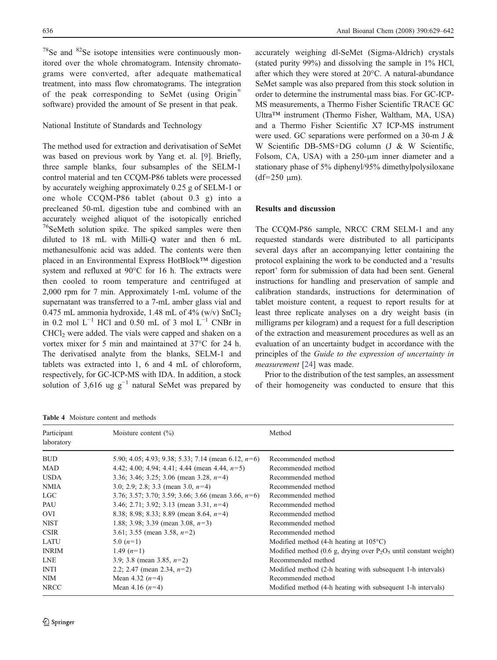<span id="page-7-0"></span> $78$ Se and  $82$ Se isotope intensities were continuously monitored over the whole chromatogram. Intensity chromatograms were converted, after adequate mathematical treatment, into mass flow chromatograms. The integration of the peak corresponding to SeMet (using Origin® software) provided the amount of Se present in that peak.

# National Institute of Standards and Technology

The method used for extraction and derivatisation of SeMet was based on previous work by Yang et. al. [\[9](#page-12-0)]. Briefly, three sample blanks, four subsamples of the SELM-1 control material and ten CCQM-P86 tablets were processed by accurately weighing approximately 0.25 g of SELM-1 or one whole CCQM-P86 tablet (about 0.3 g) into a precleaned 50-mL digestion tube and combined with an accurately weighed aliquot of the isotopically enriched 76SeMeth solution spike. The spiked samples were then diluted to 18 mL with Milli-Q water and then 6 mL methanesulfonic acid was added. The contents were then placed in an Environmental Express HotBlock™ digestion system and refluxed at 90°C for 16 h. The extracts were then cooled to room temperature and centrifuged at 2,000 rpm for 7 min. Approximately 1-mL volume of the supernatant was transferred to a 7-mL amber glass vial and 0.475 mL ammonia hydroxide, 1.48 mL of  $4\%$  (w/v) SnCl<sub>2</sub> in 0.2 mol  $L^{-1}$  HCl and 0.50 mL of 3 mol  $L^{-1}$  CNBr in CHCl<sub>2</sub> were added. The vials were capped and shaken on a vortex mixer for 5 min and maintained at 37°C for 24 h. The derivatised analyte from the blanks, SELM-1 and tablets was extracted into 1, 6 and 4 mL of chloroform, respectively, for GC-ICP-MS with IDA. In addition, a stock solution of 3,616 ug  $g^{-1}$  natural SeMet was prepared by

Table 4 Moisture content and methods

accurately weighing dl-SeMet (Sigma-Aldrich) crystals (stated purity 99%) and dissolving the sample in 1% HCl, after which they were stored at 20°C. A natural-abundance SeMet sample was also prepared from this stock solution in order to determine the instrumental mass bias. For GC-ICP-MS measurements, a Thermo Fisher Scientific TRACE GC Ultra™ instrument (Thermo Fisher, Waltham, MA, USA) and a Thermo Fisher Scientific X7 ICP-MS instrument were used. GC separations were performed on a 30-m J & W Scientific DB-5MS+DG column (J & W Scientific, Folsom, CA, USA) with a 250-μm inner diameter and a stationary phase of 5% diphenyl/95% dimethylpolysiloxane  $(df=250 μm)$ .

## Results and discussion

The CCQM-P86 sample, NRCC CRM SELM-1 and any requested standards were distributed to all participants several days after an accompanying letter containing the protocol explaining the work to be conducted and a 'results report' form for submission of data had been sent. General instructions for handling and preservation of sample and calibration standards, instructions for determination of tablet moisture content, a request to report results for at least three replicate analyses on a dry weight basis (in milligrams per kilogram) and a request for a full description of the extraction and measurement procedures as well as an evaluation of an uncertainty budget in accordance with the principles of the Guide to the expression of uncertainty in measurement [\[24](#page-13-0)] was made.

Prior to the distribution of the test samples, an assessment of their homogeneity was conducted to ensure that this

| Participant<br>laboratory | Moisture content $(\% )$                               | Method                                                              |  |  |
|---------------------------|--------------------------------------------------------|---------------------------------------------------------------------|--|--|
| <b>BUD</b>                | 5.90; 4.05; 4.93; 9.38; 5.33; 7.14 (mean 6.12, $n=6$ ) | Recommended method                                                  |  |  |
| <b>MAD</b>                | 4.42; 4.00; 4.94; 4.41; 4.44 (mean 4.44, $n=5$ )       | Recommended method                                                  |  |  |
| <b>USDA</b>               | 3.36; 3.46; 3.25; 3.06 (mean 3.28, $n=4$ )             | Recommended method                                                  |  |  |
| <b>NMIA</b>               | 3.0; 2.9; 2.8; 3.3 (mean 3.0, $n=4$ )                  | Recommended method                                                  |  |  |
| <b>LGC</b>                | 3.76; 3.57; 3.70; 3.59; 3.66; 3.66 (mean 3.66, $n=6$ ) | Recommended method                                                  |  |  |
| PAU                       | 3.46; 2.71; 3.92; 3.13 (mean 3.31, $n=4$ )             | Recommended method                                                  |  |  |
| <b>OVI</b>                | 8.38; 8.98; 8.33; 8.89 (mean 8.64, $n=4$ )             | Recommended method                                                  |  |  |
| <b>NIST</b>               | 1.88; 3.98; 3.39 (mean 3.08, $n=3$ )                   | Recommended method                                                  |  |  |
| <b>CSIR</b>               | 3.61; 3.55 (mean 3.58, $n=2$ )                         | Recommended method                                                  |  |  |
| <b>LATU</b>               | 5.0 $(n=1)$                                            | Modified method (4-h heating at $105^{\circ}$ C)                    |  |  |
| <b>INRIM</b>              | 1.49 $(n=1)$                                           | Modified method (0.6 g, drying over $P_2O_5$ until constant weight) |  |  |
| <b>LNE</b>                | 3.9; 3.8 (mean 3.85, $n=2$ )                           | Recommended method                                                  |  |  |
| <b>INTI</b>               | 2.2; 2.47 (mean 2.34, $n=2$ )                          | Modified method (2-h heating with subsequent 1-h intervals)         |  |  |
| NIM                       | Mean 4.32 $(n=4)$                                      | Recommended method                                                  |  |  |
| <b>NRCC</b>               | Mean 4.16 $(n=4)$                                      | Modified method (4-h heating with subsequent 1-h intervals)         |  |  |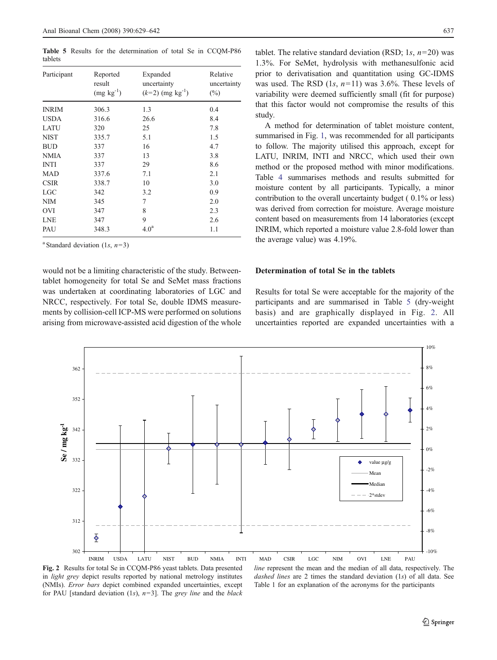<span id="page-8-0"></span>Table 5 Results for the determination of total Se in CCQM-P86 tablets

| Participant  | Reported<br>result<br>$(mg kg^{-1})$ | Expanded<br>uncertainty<br>$(k=2)$ (mg kg <sup>-1</sup> ) | Relative<br>uncertainty<br>$(\%)$ |
|--------------|--------------------------------------|-----------------------------------------------------------|-----------------------------------|
| <b>INRIM</b> | 306.3                                | 1.3                                                       | 0.4                               |
| <b>USDA</b>  | 316.6                                | 26.6                                                      | 8.4                               |
| <b>LATU</b>  | 320                                  | 25                                                        | 7.8                               |
| <b>NIST</b>  | 335.7                                | 5.1                                                       | 1.5                               |
| <b>BUD</b>   | 337                                  | 16                                                        | 4.7                               |
| <b>NMIA</b>  | 337                                  | 13                                                        | 3.8                               |
| <b>INTI</b>  | 337                                  | 29                                                        | 8.6                               |
| <b>MAD</b>   | 337.6                                | 7.1                                                       | 2.1                               |
| <b>CSIR</b>  | 338.7                                | 10                                                        | 3.0                               |
| <b>LGC</b>   | 342                                  | 3.2                                                       | 0.9                               |
| <b>NIM</b>   | 345                                  | 7                                                         | 2.0                               |
| OVI          | 347                                  | 8                                                         | 2.3                               |
| <b>LNE</b>   | 347                                  | 9                                                         | 2.6                               |
| PAU          | 348.3                                | 4.0 <sup>a</sup>                                          | 1.1                               |

<sup>a</sup> Standard deviation (1s,  $n=3$ )

would not be a limiting characteristic of the study. Betweentablet homogeneity for total Se and SeMet mass fractions was undertaken at coordinating laboratories of LGC and NRCC, respectively. For total Se, double IDMS measurements by collision-cell ICP-MS were performed on solutions arising from microwave-assisted acid digestion of the whole

tablet. The relative standard deviation (RSD; 1s,  $n=20$ ) was 1.3%. For SeMet, hydrolysis with methanesulfonic acid prior to derivatisation and quantitation using GC-IDMS was used. The RSD  $(1s, n=11)$  was 3.6%. These levels of variability were deemed sufficiently small (fit for purpose) that this factor would not compromise the results of this study.

A method for determination of tablet moisture content, summarised in Fig. [1](#page-3-0), was recommended for all participants to follow. The majority utilised this approach, except for LATU, INRIM, INTI and NRCC, which used their own method or the proposed method with minor modifications. Table [4](#page-7-0) summarises methods and results submitted for moisture content by all participants. Typically, a minor contribution to the overall uncertainty budget ( 0.1% or less) was derived from correction for moisture. Average moisture content based on measurements from 14 laboratories (except INRIM, which reported a moisture value 2.8-fold lower than the average value) was 4.19%.

### Determination of total Se in the tablets

Results for total Se were acceptable for the majority of the participants and are summarised in Table 5 (dry-weight basis) and are graphically displayed in Fig. 2. All uncertainties reported are expanded uncertainties with a





line represent the mean and the median of all data, respectively. The dashed lines are 2 times the standard deviation (1s) of all data. See Table 1 for an explanation of the acronyms for the participants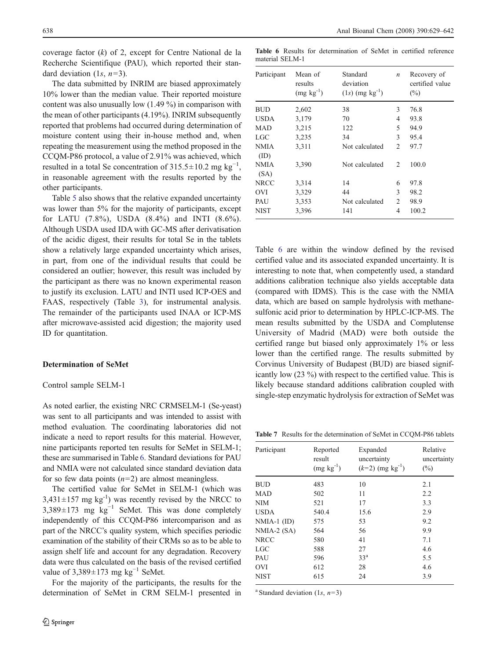<span id="page-9-0"></span>coverage factor  $(k)$  of 2, except for Centre National de la Recherche Scientifique (PAU), which reported their standard deviation (1s,  $n=3$ ).

The data submitted by INRIM are biased approximately 10% lower than the median value. Their reported moisture content was also unusually low (1.49 %) in comparison with the mean of other participants (4.19%). INRIM subsequently reported that problems had occurred during determination of moisture content using their in-house method and, when repeating the measurement using the method proposed in the CCQM-P86 protocol, a value of 2.91% was achieved, which resulted in a total Se concentration of  $315.5\pm10.2$  mg kg<sup>-1</sup> , in reasonable agreement with the results reported by the other participants.

Table [5](#page-8-0) also shows that the relative expanded uncertainty was lower than 5% for the majority of participants, except for LATU (7.8%), USDA (8.4%) and INTI (8.6%). Although USDA used IDA with GC-MS after derivatisation of the acidic digest, their results for total Se in the tablets show a relatively large expanded uncertainty which arises, in part, from one of the individual results that could be considered an outlier; however, this result was included by the participant as there was no known experimental reason to justify its exclusion. LATU and INTI used ICP-OES and FAAS, respectively (Table [3](#page-4-0)), for instrumental analysis. The remainder of the participants used INAA or ICP-MS after microwave-assisted acid digestion; the majority used ID for quantitation.

#### Determination of SeMet

#### Control sample SELM-1

As noted earlier, the existing NRC CRMSELM-1 (Se-yeast) was sent to all participants and was intended to assist with method evaluation. The coordinating laboratories did not indicate a need to report results for this material. However, nine participants reported ten results for SeMet in SELM-1; these are summarised in Table 6. Standard deviations for PAU and NMIA were not calculated since standard deviation data for so few data points  $(n=2)$  are almost meaningless.

The certified value for SeMet in SELM-1 (which was  $3,431 \pm 157$  mg kg<sup>-1</sup>) was recently revised by the NRCC to 3,389±173 mg  $kg^{-1}$  SeMet. This was done completely independently of this CCQM-P86 intercomparison and as part of the NRCC's quality system, which specifies periodic examination of the stability of their CRMs so as to be able to assign shelf life and account for any degradation. Recovery data were thus calculated on the basis of the revised certified value of  $3,389\pm173$  mg kg<sup>-1</sup> SeMet.

For the majority of the participants, the results for the determination of SeMet in CRM SELM-1 presented in

Table 6 Results for determination of SeMet in certified reference material SELM-1

| Participant         | Mean of<br>results<br>$(mg kg^{-1})$ | Standard<br>deviation<br>$(1s)$ (mg kg <sup>-1</sup> ) | $\boldsymbol{n}$ | Recovery of<br>certified value<br>$(\%)$ |
|---------------------|--------------------------------------|--------------------------------------------------------|------------------|------------------------------------------|
| <b>BUD</b>          | 2,602                                | 38                                                     | 3                | 76.8                                     |
| <b>USDA</b>         | 3,179                                | 70                                                     | 4                | 93.8                                     |
| <b>MAD</b>          | 3,215                                | 122                                                    | 5                | 94.9                                     |
| LGC                 | 3,235                                | 34                                                     | 3                | 95.4                                     |
| <b>NMIA</b><br>(ID) | 3,311                                | Not calculated                                         | $\overline{c}$   | 97.7                                     |
| <b>NMIA</b><br>(SA) | 3,390                                | Not calculated                                         | 2                | 100.0                                    |
| <b>NRCC</b>         | 3,314                                | 14                                                     | 6                | 97.8                                     |
| OVI                 | 3,329                                | 44                                                     | 3                | 98.2                                     |
| PAU                 | 3,353                                | Not calculated                                         | 2                | 98.9                                     |
| NIST                | 3,396                                | 141                                                    | 4                | 100.2                                    |

Table 6 are within the window defined by the revised certified value and its associated expanded uncertainty. It is interesting to note that, when competently used, a standard additions calibration technique also yields acceptable data (compared with IDMS). This is the case with the NMIA data, which are based on sample hydrolysis with methanesulfonic acid prior to determination by HPLC-ICP-MS. The mean results submitted by the USDA and Complutense University of Madrid (MAD) were both outside the certified range but biased only approximately 1% or less lower than the certified range. The results submitted by Corvinus University of Budapest (BUD) are biased significantly low (23 %) with respect to the certified value. This is likely because standard additions calibration coupled with single-step enzymatic hydrolysis for extraction of SeMet was

Table 7 Results for the determination of SeMet in CCQM-P86 tablets

| Participant   | Reported<br>result<br>$(mg kg^{-1})$ | Expanded<br>uncertainty<br>$(k=2)$ (mg kg <sup>-1</sup> ) | Relative<br>uncertainty<br>$(\%)$ |
|---------------|--------------------------------------|-----------------------------------------------------------|-----------------------------------|
| <b>BUD</b>    | 483                                  | 10                                                        | 2.1                               |
| <b>MAD</b>    | 502                                  | 11                                                        | 2.2                               |
| <b>NIM</b>    | 521                                  | 17                                                        | 3.3                               |
| <b>USDA</b>   | 540.4                                | 15.6                                                      | 2.9                               |
| $NMIA-1$ (ID) | 575                                  | 53                                                        | 9.2                               |
| $NMIA-2(SA)$  | 564                                  | 56                                                        | 9.9                               |
| <b>NRCC</b>   | 580                                  | 41                                                        | 7.1                               |
| LGC           | 588                                  | 27                                                        | 4.6                               |
| PAU           | 596                                  | 33 <sup>a</sup>                                           | 5.5                               |
| <b>OVI</b>    | 612                                  | 28                                                        | 4.6                               |
| <b>NIST</b>   | 615                                  | 24                                                        | 3.9                               |

<sup>a</sup> Standard deviation (1s,  $n=3$ )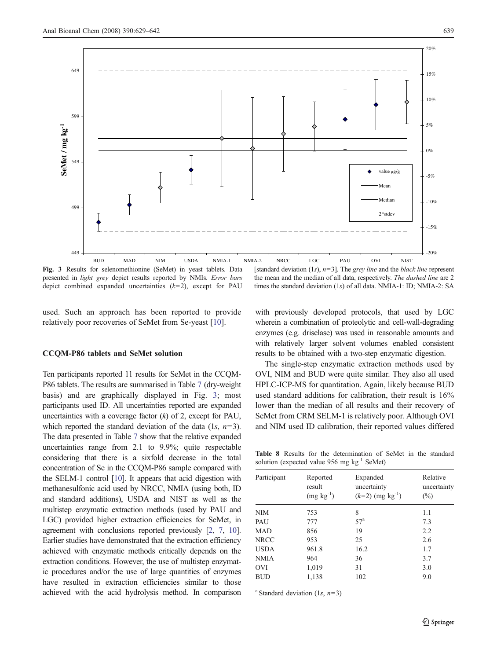<span id="page-10-0"></span>

Fig. 3 Results for selenomethionine (SeMet) in yeast tablets. Data presented in light grey depict results reported by NMIs. Error bars depict combined expanded uncertainties  $(k=2)$ , except for PAU

[standard deviation (1s),  $n=3$ ]. The grey line and the black line represent the mean and the median of all data, respectively. The dashed line are 2 times the standard deviation (1s) of all data. NMIA-1: ID; NMIA-2: SA

used. Such an approach has been reported to provide relatively poor recoveries of SeMet from Se-yeast [\[10](#page-12-0)].

#### CCQM-P86 tablets and SeMet solution

Ten participants reported 11 results for SeMet in the CCQM-P86 tablets. The results are summarised in Table [7](#page-9-0) (dry-weight basis) and are graphically displayed in Fig. 3; most participants used ID. All uncertainties reported are expanded uncertainties with a coverage factor  $(k)$  of 2, except for PAU, which reported the standard deviation of the data (1s,  $n=3$ ). The data presented in Table [7](#page-9-0) show that the relative expanded uncertainties range from 2.1 to 9.9%; quite respectable considering that there is a sixfold decrease in the total concentration of Se in the CCQM-P86 sample compared with the SELM-1 control [[10](#page-12-0)]. It appears that acid digestion with methanesulfonic acid used by NRCC, NMIA (using both, ID and standard additions), USDA and NIST as well as the multistep enzymatic extraction methods (used by PAU and LGC) provided higher extraction efficiencies for SeMet, in agreement with conclusions reported previously [\[2,](#page-12-0) [7,](#page-12-0) [10\]](#page-12-0). Earlier studies have demonstrated that the extraction efficiency achieved with enzymatic methods critically depends on the extraction conditions. However, the use of multistep enzymatic procedures and/or the use of large quantities of enzymes have resulted in extraction efficiencies similar to those achieved with the acid hydrolysis method. In comparison

with previously developed protocols, that used by LGC wherein a combination of proteolytic and cell-wall-degrading enzymes (e.g. driselase) was used in reasonable amounts and with relatively larger solvent volumes enabled consistent results to be obtained with a two-step enzymatic digestion.

The single-step enzymatic extraction methods used by OVI, NIM and BUD were quite similar. They also all used HPLC-ICP-MS for quantitation. Again, likely because BUD used standard additions for calibration, their result is 16% lower than the median of all results and their recovery of SeMet from CRM SELM-1 is relatively poor. Although OVI and NIM used ID calibration, their reported values differed

Table 8 Results for the determination of SeMet in the standard solution (expected value 956 mg  $kg^{-1}$  SeMet)

| Participant | Reported<br>result<br>$(mg kg-1)$ | Expanded<br>uncertainty<br>$(k=2)$ (mg kg <sup>-1</sup> ) | Relative<br>uncertainty<br>$(\%)$ |
|-------------|-----------------------------------|-----------------------------------------------------------|-----------------------------------|
| <b>NIM</b>  | 753                               | 8                                                         | 1.1                               |
| PAU         | 777                               | $57^{\rm a}$                                              | 7.3                               |
| <b>MAD</b>  | 856                               | 19                                                        | 2.2                               |
| <b>NRCC</b> | 953                               | 25                                                        | 2.6                               |
| <b>USDA</b> | 961.8                             | 16.2                                                      | 1.7                               |
| <b>NMIA</b> | 964                               | 36                                                        | 3.7                               |
| <b>OVI</b>  | 1,019                             | 31                                                        | 3.0                               |
| BUD         | 1,138                             | 102                                                       | 9.0                               |
|             |                                   |                                                           |                                   |

<sup>a</sup> Standard deviation (1s,  $n=3$ )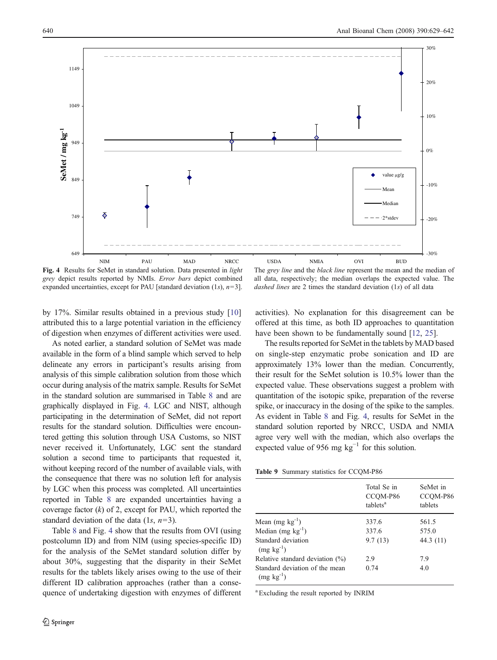<span id="page-11-0"></span>

Fig. 4 Results for SeMet in standard solution. Data presented in light grey depict results reported by NMIs. Error bars depict combined expanded uncertainties, except for PAU [standard deviation  $(1s)$ ,  $n=3$ ].

by 17%. Similar results obtained in a previous study [[10\]](#page-12-0) attributed this to a large potential variation in the efficiency of digestion when enzymes of different activities were used.

As noted earlier, a standard solution of SeMet was made available in the form of a blind sample which served to help delineate any errors in participant's results arising from analysis of this simple calibration solution from those which occur during analysis of the matrix sample. Results for SeMet in the standard solution are summarised in Table [8](#page-10-0) and are graphically displayed in Fig. 4. LGC and NIST, although participating in the determination of SeMet, did not report results for the standard solution. Difficulties were encountered getting this solution through USA Customs, so NIST never received it. Unfortunately, LGC sent the standard solution a second time to participants that requested it, without keeping record of the number of available vials, with the consequence that there was no solution left for analysis by LGC when this process was completed. All uncertainties reported in Table [8](#page-10-0) are expanded uncertainties having a coverage factor  $(k)$  of 2, except for PAU, which reported the standard deviation of the data  $(1s, n=3)$ .

Table [8](#page-10-0) and Fig. 4 show that the results from OVI (using postcolumn ID) and from NIM (using species-specific ID) for the analysis of the SeMet standard solution differ by about 30%, suggesting that the disparity in their SeMet results for the tablets likely arises owing to the use of their different ID calibration approaches (rather than a consequence of undertaking digestion with enzymes of different

The *grey line* and the *black line* represent the mean and the median of all data, respectively; the median overlaps the expected value. The dashed lines are 2 times the standard deviation (1s) of all data

activities). No explanation for this disagreement can be offered at this time, as both ID approaches to quantitation have been shown to be fundamentally sound [[12,](#page-12-0) [25](#page-13-0)].

The results reported for SeMet in the tablets by MAD based on single-step enzymatic probe sonication and ID are approximately 13% lower than the median. Concurrently, their result for the SeMet solution is 10.5% lower than the expected value. These observations suggest a problem with quantitation of the isotopic spike, preparation of the reverse spike, or inaccuracy in the dosing of the spike to the samples. As evident in Table [8](#page-10-0) and Fig. 4, results for SeMet in the standard solution reported by NRCC, USDA and NMIA agree very well with the median, which also overlaps the expected value of 956 mg  $kg^{-1}$  for this solution.

Table 9 Summary statistics for CCQM-P86

|                                                  | Total Se in<br>CCQM-P86 | SeMet in<br>CCQM-P86 |
|--------------------------------------------------|-------------------------|----------------------|
|                                                  | tablets <sup>a</sup>    | tablets              |
| Mean $(mg kg^{-1})$                              | 337.6                   | 561.5                |
| Median $(mg kg^{-1})$                            | 337.6                   | 575.0                |
| Standard deviation<br>$(mg kg^{-1})$             | 9.7(13)                 | 44.3 $(11)$          |
| Relative standard deviation $(\%)$               | 2.9                     | 7.9                  |
| Standard deviation of the mean<br>$(mg kg^{-1})$ | 0.74                    | 4.0                  |

<sup>a</sup> Excluding the result reported by INRIM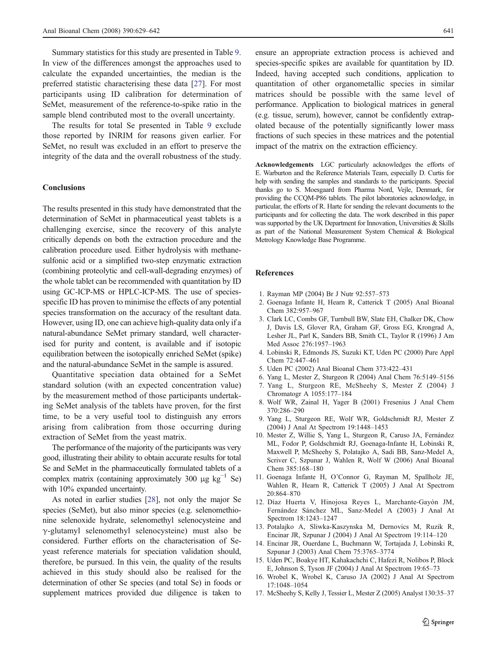<span id="page-12-0"></span>Summary statistics for this study are presented in Table [9.](#page-11-0) In view of the differences amongst the approaches used to calculate the expanded uncertainties, the median is the preferred statistic characterising these data [\[27](#page-13-0)]. For most participants using ID calibration for determination of SeMet, measurement of the reference-to-spike ratio in the sample blend contributed most to the overall uncertainty.

The results for total Se presented in Table [9](#page-11-0) exclude those reported by INRIM for reasons given earlier. For SeMet, no result was excluded in an effort to preserve the integrity of the data and the overall robustness of the study.

## Conclusions

The results presented in this study have demonstrated that the determination of SeMet in pharmaceutical yeast tablets is a challenging exercise, since the recovery of this analyte critically depends on both the extraction procedure and the calibration procedure used. Either hydrolysis with methanesulfonic acid or a simplified two-step enzymatic extraction (combining proteolytic and cell-wall-degrading enzymes) of the whole tablet can be recommended with quantitation by ID using GC-ICP-MS or HPLC-ICP-MS. The use of speciesspecific ID has proven to minimise the effects of any potential species transformation on the accuracy of the resultant data. However, using ID, one can achieve high-quality data only if a natural-abundance SeMet primary standard, well characterised for purity and content, is available and if isotopic equilibration between the isotopically enriched SeMet (spike) and the natural-abundance SeMet in the sample is assured.

Quantitative speciation data obtained for a SeMet standard solution (with an expected concentration value) by the measurement method of those participants undertaking SeMet analysis of the tablets have proven, for the first time, to be a very useful tool to distinguish any errors arising from calibration from those occurring during extraction of SeMet from the yeast matrix.

The performance of the majority of the participants was very good, illustrating their ability to obtain accurate results for total Se and SeMet in the pharmaceutically formulated tablets of a complex matrix (containing approximately 300 μg  $kg^{-1}$  Se) with  $10\%$  expanded uncertainty.

As noted in earlier studies [[28\]](#page-13-0), not only the major Se species (SeMet), but also minor species (e.g. selenomethionine selenoxide hydrate, selenomethyl selenocysteine and γ-glutamyl selenomethyl selenocysteine) must also be considered. Further efforts on the characterisation of Seyeast reference materials for speciation validation should, therefore, be pursued. In this vein, the quality of the results achieved in this study should also be realised for the determination of other Se species (and total Se) in foods or supplement matrices provided due diligence is taken to

ensure an appropriate extraction process is achieved and species-specific spikes are available for quantitation by ID. Indeed, having accepted such conditions, application to quantitation of other organometallic species in similar matrices should be possible with the same level of performance. Application to biological matrices in general (e.g. tissue, serum), however, cannot be confidently extrapolated because of the potentially significantly lower mass fractions of such species in these matrices and the potential impact of the matrix on the extraction efficiency.

Acknowledgements LGC particularly acknowledges the efforts of E. Warburton and the Reference Materials Team, especially D. Curtis for help with sending the samples and standards to the participants. Special thanks go to S. Moesgaard from Pharma Nord, Vejle, Denmark, for providing the CCQM-P86 tablets. The pilot laboratories acknowledge, in particular, the efforts of R. Harte for sending the relevant documents to the participants and for collecting the data. The work described in this paper was supported by the UK Department for Innovation, Universities & Skills as part of the National Measurement System Chemical & Biological Metrology Knowledge Base Programme.

### References

- 1. Rayman MP (2004) Br J Nutr 92:557–573
- 2. Goenaga Infante H, Hearn R, Catterick T (2005) Anal Bioanal Chem 382:957–967
- 3. Clark LC, Combs GF, Turnbull BW, Slate EH, Chalker DK, Chow J, Davis LS, Glover RA, Graham GF, Gross EG, Krongrad A, Lesher JL, Parl K, Sanders BB, Smith CL, Taylor R (1996) J Am Med Assoc 276:1957–1963
- 4. Lobinski R, Edmonds JS, Suzuki KT, Uden PC (2000) Pure Appl Chem 72:447–461
- 5. Uden PC (2002) Anal Bioanal Chem 373:422–431
- 6. Yang L, Mester Z, Sturgeon R (2004) Anal Chem 76:5149–5156
- 7. Yang L, Sturgeon RE, McSheehy S, Mester Z (2004) J Chromatogr A 1055:177–184
- 8. Wolf WR, Zainal H, Yager B (2001) Fresenius J Anal Chem 370:286–290
- 9. Yang L, Sturgeon RE, Wolf WR, Goldschmidt RJ, Mester Z (2004) J Anal At Spectrom 19:1448–1453
- 10. Mester Z, Willie S, Yang L, Sturgeon R, Caruso JA, Fernández ML, Fodor P, Goldschmidt RJ, Goenaga-Infante H, Lobinski R, Maxwell P, McSheehy S, Polatajko A, Sadi BB, Sanz-Medel A, Scriver C, Szpunar J, Wahlen R, Wolf W (2006) Anal Bioanal Chem 385:168–180
- 11. Goenaga Infante H, O'Connor G, Rayman M, Spallholz JE, Wahlen R, Hearn R, Catterick T (2005) J Anal At Spectrom 20:864–870
- 12. Díaz Huerta V, Hinojosa Reyes L, Marchante-Gayón JM, Fernández Sánchez ML, Sanz-Medel A (2003) J Anal At Spectrom 18:1243–1247
- 13. Potalajko A, Sliwka-Kaszynska M, Dernovics M, Ruzik R, Encinar JR, Szpunar J (2004) J Anal At Spectrom 19:114–120
- 14. Encinar JR, Ouerdane L, Buchmann W, Tortajada J, Lobinski R, Szpunar J (2003) Anal Chem 75:3765–3774
- 15. Uden PC, Boakye HT, Kahakachchi C, Hafezi R, Nolibos P, Block E, Johnson S, Tyson JF (2004) J Anal At Spectrom 19:65–73
- 16. Wrobel K, Wrobel K, Caruso JA (2002) J Anal At Spectrom 17:1048–1054
- 17. McSheehy S, Kelly J, Tessier L, Mester Z (2005) Analyst 130:35–37